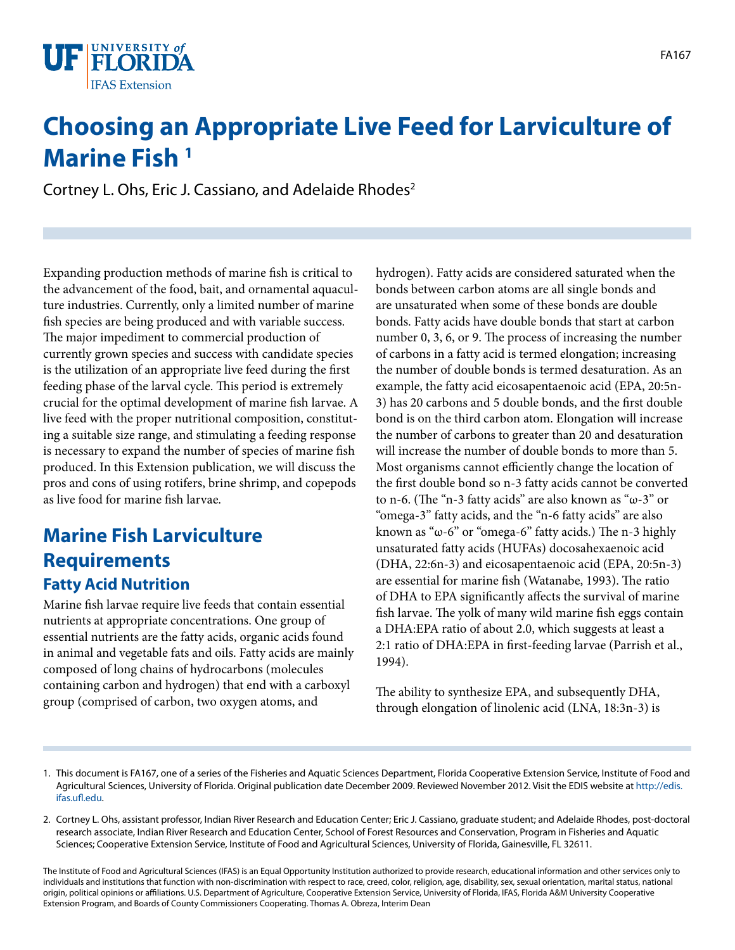

# **Choosing an Appropriate Live Feed for Larviculture of Marine Fish 1**

Cortney L. Ohs, Eric J. Cassiano, and Adelaide Rhodes<sup>2</sup>

Expanding production methods of marine fish is critical to the advancement of the food, bait, and ornamental aquaculture industries. Currently, only a limited number of marine fish species are being produced and with variable success. The major impediment to commercial production of currently grown species and success with candidate species is the utilization of an appropriate live feed during the first feeding phase of the larval cycle. This period is extremely crucial for the optimal development of marine fish larvae. A live feed with the proper nutritional composition, constituting a suitable size range, and stimulating a feeding response is necessary to expand the number of species of marine fish produced. In this Extension publication, we will discuss the pros and cons of using rotifers, brine shrimp, and copepods as live food for marine fish larvae.

## **Marine Fish Larviculture Requirements Fatty Acid Nutrition**

Marine fish larvae require live feeds that contain essential nutrients at appropriate concentrations. One group of essential nutrients are the fatty acids, organic acids found in animal and vegetable fats and oils. Fatty acids are mainly composed of long chains of hydrocarbons (molecules containing carbon and hydrogen) that end with a carboxyl group (comprised of carbon, two oxygen atoms, and

hydrogen). Fatty acids are considered saturated when the bonds between carbon atoms are all single bonds and are unsaturated when some of these bonds are double bonds. Fatty acids have double bonds that start at carbon number 0, 3, 6, or 9. The process of increasing the number of carbons in a fatty acid is termed elongation; increasing the number of double bonds is termed desaturation. As an example, the fatty acid eicosapentaenoic acid (EPA, 20:5n-3) has 20 carbons and 5 double bonds, and the first double bond is on the third carbon atom. Elongation will increase the number of carbons to greater than 20 and desaturation will increase the number of double bonds to more than 5. Most organisms cannot efficiently change the location of the first double bond so n-3 fatty acids cannot be converted to n-6. (The "n-3 fatty acids" are also known as "ω-3" or "omega-3" fatty acids, and the "n-6 fatty acids" are also known as "ω-6" or "omega-6" fatty acids.) The n-3 highly unsaturated fatty acids (HUFAs) docosahexaenoic acid (DHA, 22:6n-3) and eicosapentaenoic acid (EPA, 20:5n-3) are essential for marine fish (Watanabe, 1993). The ratio of DHA to EPA significantly affects the survival of marine fish larvae. The yolk of many wild marine fish eggs contain a DHA:EPA ratio of about 2.0, which suggests at least a 2:1 ratio of DHA:EPA in first-feeding larvae (Parrish et al., 1994).

The ability to synthesize EPA, and subsequently DHA, through elongation of linolenic acid (LNA, 18:3n-3) is

The Institute of Food and Agricultural Sciences (IFAS) is an Equal Opportunity Institution authorized to provide research, educational information and other services only to individuals and institutions that function with non-discrimination with respect to race, creed, color, religion, age, disability, sex, sexual orientation, marital status, national origin, political opinions or affiliations. U.S. Department of Agriculture, Cooperative Extension Service, University of Florida, IFAS, Florida A&M University Cooperative Extension Program, and Boards of County Commissioners Cooperating. Thomas A. Obreza, Interim Dean

<sup>1.</sup> This document is FA167, one of a series of the Fisheries and Aquatic Sciences Department, Florida Cooperative Extension Service, Institute of Food and Agricultural Sciences, University of Florida. Original publication date December 2009. Reviewed November 2012. Visit the EDIS website at [http://edis.](http://edis.ifas.ufl.edu) [ifas.ufl.edu.](http://edis.ifas.ufl.edu)

<sup>2.</sup> Cortney L. Ohs, assistant professor, Indian River Research and Education Center; Eric J. Cassiano, graduate student; and Adelaide Rhodes, post-doctoral research associate, Indian River Research and Education Center, School of Forest Resources and Conservation, Program in Fisheries and Aquatic Sciences; Cooperative Extension Service, Institute of Food and Agricultural Sciences, University of Florida, Gainesville, FL 32611.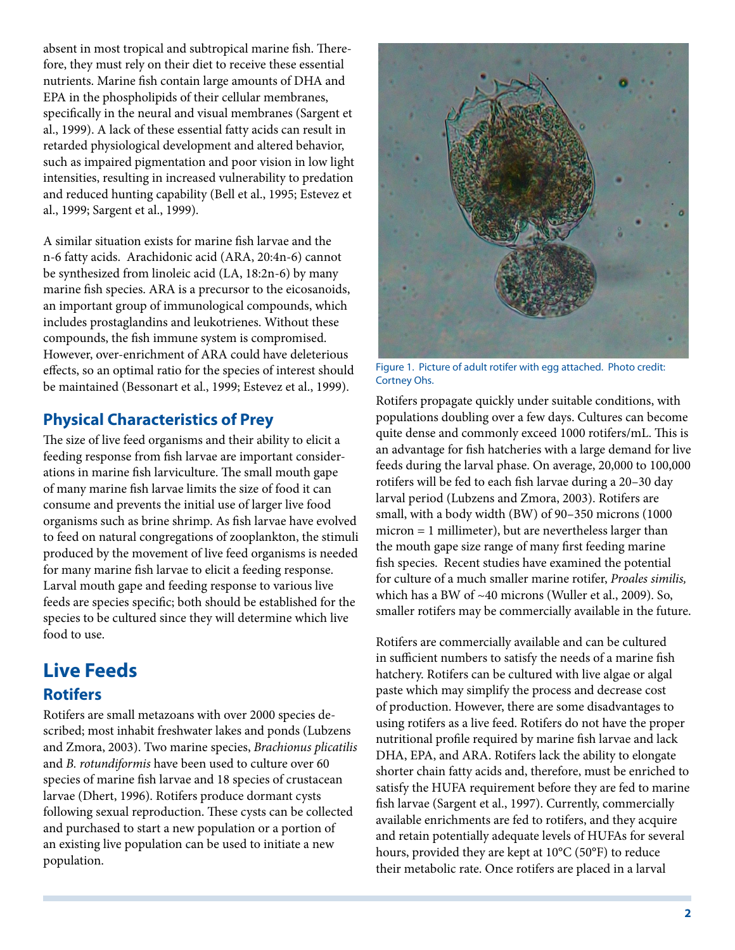absent in most tropical and subtropical marine fish. Therefore, they must rely on their diet to receive these essential nutrients. Marine fish contain large amounts of DHA and EPA in the phospholipids of their cellular membranes, specifically in the neural and visual membranes (Sargent et al., 1999). A lack of these essential fatty acids can result in retarded physiological development and altered behavior, such as impaired pigmentation and poor vision in low light intensities, resulting in increased vulnerability to predation and reduced hunting capability (Bell et al., 1995; Estevez et al., 1999; Sargent et al., 1999).

A similar situation exists for marine fish larvae and the n-6 fatty acids. Arachidonic acid (ARA, 20:4n-6) cannot be synthesized from linoleic acid (LA, 18:2n-6) by many marine fish species. ARA is a precursor to the eicosanoids, an important group of immunological compounds, which includes prostaglandins and leukotrienes. Without these compounds, the fish immune system is compromised. However, over-enrichment of ARA could have deleterious effects, so an optimal ratio for the species of interest should be maintained (Bessonart et al., 1999; Estevez et al., 1999).

#### **Physical Characteristics of Prey**

The size of live feed organisms and their ability to elicit a feeding response from fish larvae are important considerations in marine fish larviculture. The small mouth gape of many marine fish larvae limits the size of food it can consume and prevents the initial use of larger live food organisms such as brine shrimp. As fish larvae have evolved to feed on natural congregations of zooplankton, the stimuli produced by the movement of live feed organisms is needed for many marine fish larvae to elicit a feeding response. Larval mouth gape and feeding response to various live feeds are species specific; both should be established for the species to be cultured since they will determine which live food to use.

# **Live Feeds Rotifers**

Rotifers are small metazoans with over 2000 species described; most inhabit freshwater lakes and ponds (Lubzens and Zmora, 2003). Two marine species, *Brachionus plicatilis* and *B. rotundiformis* have been used to culture over 60 species of marine fish larvae and 18 species of crustacean larvae (Dhert, 1996). Rotifers produce dormant cysts following sexual reproduction. These cysts can be collected and purchased to start a new population or a portion of an existing live population can be used to initiate a new population.



Figure 1. Picture of adult rotifer with egg attached. Photo credit: Cortney Ohs.

Rotifers propagate quickly under suitable conditions, with populations doubling over a few days. Cultures can become quite dense and commonly exceed 1000 rotifers/mL. This is an advantage for fish hatcheries with a large demand for live feeds during the larval phase. On average, 20,000 to 100,000 rotifers will be fed to each fish larvae during a 20–30 day larval period (Lubzens and Zmora, 2003). Rotifers are small, with a body width (BW) of 90–350 microns (1000 micron = 1 millimeter), but are nevertheless larger than the mouth gape size range of many first feeding marine fish species. Recent studies have examined the potential for culture of a much smaller marine rotifer, *Proales similis,* which has a BW of ~40 microns (Wuller et al., 2009). So, smaller rotifers may be commercially available in the future.

Rotifers are commercially available and can be cultured in sufficient numbers to satisfy the needs of a marine fish hatchery. Rotifers can be cultured with live algae or algal paste which may simplify the process and decrease cost of production. However, there are some disadvantages to using rotifers as a live feed. Rotifers do not have the proper nutritional profile required by marine fish larvae and lack DHA, EPA, and ARA. Rotifers lack the ability to elongate shorter chain fatty acids and, therefore, must be enriched to satisfy the HUFA requirement before they are fed to marine fish larvae (Sargent et al., 1997). Currently, commercially available enrichments are fed to rotifers, and they acquire and retain potentially adequate levels of HUFAs for several hours, provided they are kept at 10°C (50°F) to reduce their metabolic rate. Once rotifers are placed in a larval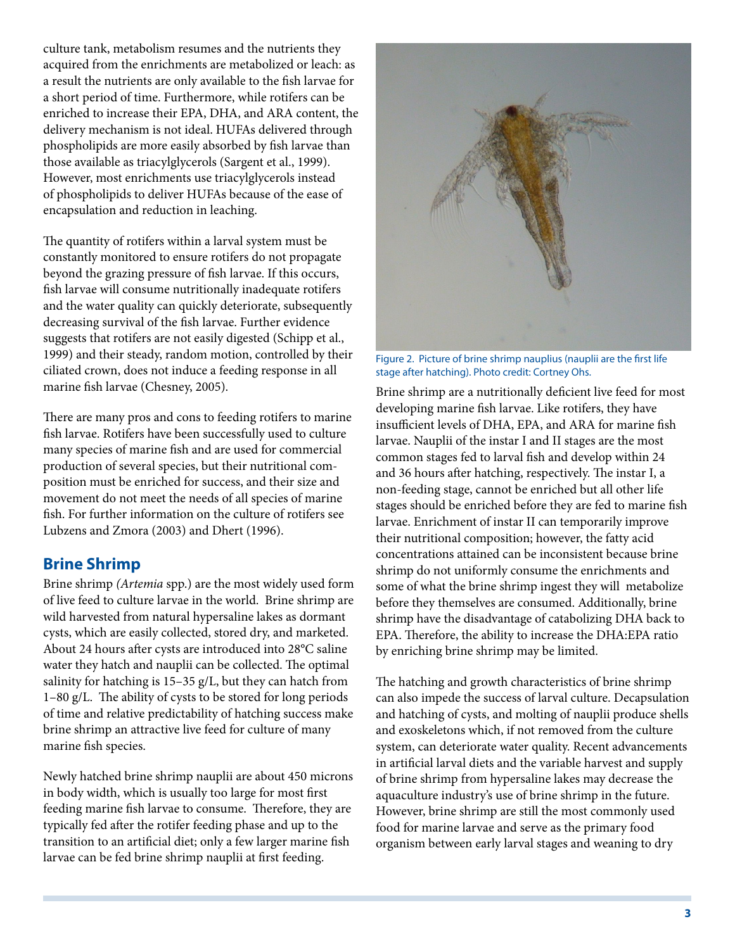culture tank, metabolism resumes and the nutrients they acquired from the enrichments are metabolized or leach: as a result the nutrients are only available to the fish larvae for a short period of time. Furthermore, while rotifers can be enriched to increase their EPA, DHA, and ARA content, the delivery mechanism is not ideal. HUFAs delivered through phospholipids are more easily absorbed by fish larvae than those available as triacylglycerols (Sargent et al., 1999). However, most enrichments use triacylglycerols instead of phospholipids to deliver HUFAs because of the ease of encapsulation and reduction in leaching.

The quantity of rotifers within a larval system must be constantly monitored to ensure rotifers do not propagate beyond the grazing pressure of fish larvae. If this occurs, fish larvae will consume nutritionally inadequate rotifers and the water quality can quickly deteriorate, subsequently decreasing survival of the fish larvae. Further evidence suggests that rotifers are not easily digested (Schipp et al., 1999) and their steady, random motion, controlled by their ciliated crown, does not induce a feeding response in all marine fish larvae (Chesney, 2005).

There are many pros and cons to feeding rotifers to marine fish larvae. Rotifers have been successfully used to culture many species of marine fish and are used for commercial production of several species, but their nutritional composition must be enriched for success, and their size and movement do not meet the needs of all species of marine fish. For further information on the culture of rotifers see Lubzens and Zmora (2003) and Dhert (1996).

#### **Brine Shrimp**

Brine shrimp *(Artemia* spp.) are the most widely used form of live feed to culture larvae in the world. Brine shrimp are wild harvested from natural hypersaline lakes as dormant cysts, which are easily collected, stored dry, and marketed. About 24 hours after cysts are introduced into 28°C saline water they hatch and nauplii can be collected. The optimal salinity for hatching is 15–35 g/L, but they can hatch from 1–80 g/L. The ability of cysts to be stored for long periods of time and relative predictability of hatching success make brine shrimp an attractive live feed for culture of many marine fish species.

Newly hatched brine shrimp nauplii are about 450 microns in body width, which is usually too large for most first feeding marine fish larvae to consume. Therefore, they are typically fed after the rotifer feeding phase and up to the transition to an artificial diet; only a few larger marine fish larvae can be fed brine shrimp nauplii at first feeding.



Figure 2. Picture of brine shrimp nauplius (nauplii are the first life stage after hatching). Photo credit: Cortney Ohs.

Brine shrimp are a nutritionally deficient live feed for most developing marine fish larvae. Like rotifers, they have insufficient levels of DHA, EPA, and ARA for marine fish larvae. Nauplii of the instar I and II stages are the most common stages fed to larval fish and develop within 24 and 36 hours after hatching, respectively. The instar I, a non-feeding stage, cannot be enriched but all other life stages should be enriched before they are fed to marine fish larvae. Enrichment of instar II can temporarily improve their nutritional composition; however, the fatty acid concentrations attained can be inconsistent because brine shrimp do not uniformly consume the enrichments and some of what the brine shrimp ingest they will metabolize before they themselves are consumed. Additionally, brine shrimp have the disadvantage of catabolizing DHA back to EPA. Therefore, the ability to increase the DHA:EPA ratio by enriching brine shrimp may be limited.

The hatching and growth characteristics of brine shrimp can also impede the success of larval culture. Decapsulation and hatching of cysts, and molting of nauplii produce shells and exoskeletons which, if not removed from the culture system, can deteriorate water quality. Recent advancements in artificial larval diets and the variable harvest and supply of brine shrimp from hypersaline lakes may decrease the aquaculture industry's use of brine shrimp in the future. However, brine shrimp are still the most commonly used food for marine larvae and serve as the primary food organism between early larval stages and weaning to dry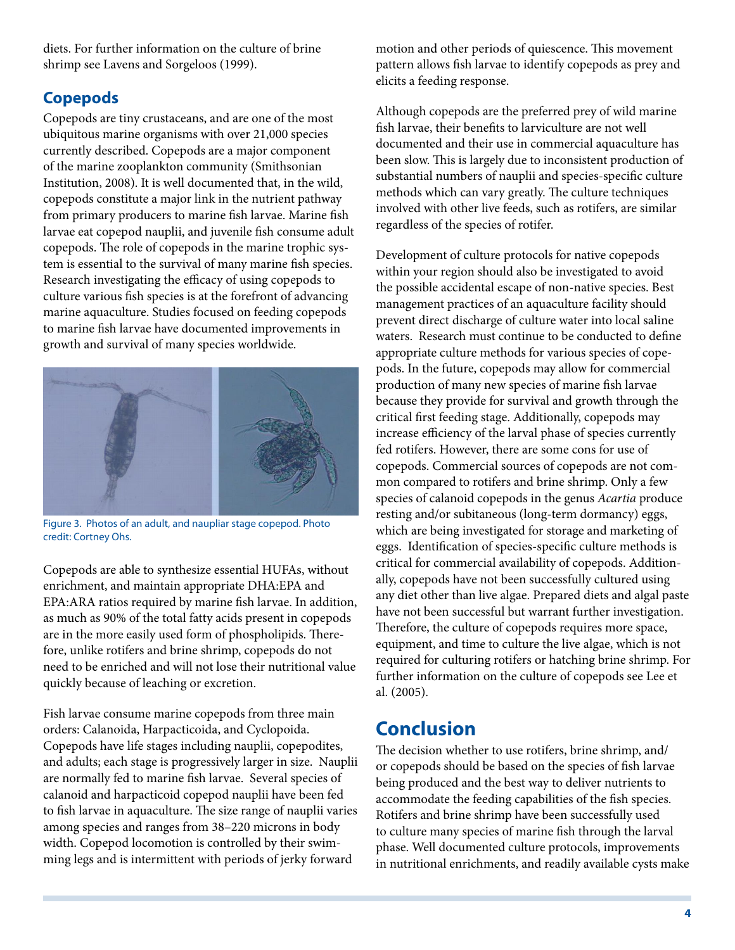diets. For further information on the culture of brine shrimp see Lavens and Sorgeloos (1999).

### **Copepods**

Copepods are tiny crustaceans, and are one of the most ubiquitous marine organisms with over 21,000 species currently described. Copepods are a major component of the marine zooplankton community (Smithsonian Institution, 2008). It is well documented that, in the wild, copepods constitute a major link in the nutrient pathway from primary producers to marine fish larvae. Marine fish larvae eat copepod nauplii, and juvenile fish consume adult copepods. The role of copepods in the marine trophic system is essential to the survival of many marine fish species. Research investigating the efficacy of using copepods to culture various fish species is at the forefront of advancing marine aquaculture. Studies focused on feeding copepods to marine fish larvae have documented improvements in growth and survival of many species worldwide.



Figure 3. Photos of an adult, and naupliar stage copepod. Photo credit: Cortney Ohs.

Copepods are able to synthesize essential HUFAs, without enrichment, and maintain appropriate DHA:EPA and EPA:ARA ratios required by marine fish larvae. In addition, as much as 90% of the total fatty acids present in copepods are in the more easily used form of phospholipids. Therefore, unlike rotifers and brine shrimp, copepods do not need to be enriched and will not lose their nutritional value quickly because of leaching or excretion.

Fish larvae consume marine copepods from three main orders: Calanoida, Harpacticoida, and Cyclopoida. Copepods have life stages including nauplii, copepodites, and adults; each stage is progressively larger in size. Nauplii are normally fed to marine fish larvae. Several species of calanoid and harpacticoid copepod nauplii have been fed to fish larvae in aquaculture. The size range of nauplii varies among species and ranges from 38–220 microns in body width. Copepod locomotion is controlled by their swimming legs and is intermittent with periods of jerky forward

motion and other periods of quiescence. This movement pattern allows fish larvae to identify copepods as prey and elicits a feeding response.

Although copepods are the preferred prey of wild marine fish larvae, their benefits to larviculture are not well documented and their use in commercial aquaculture has been slow. This is largely due to inconsistent production of substantial numbers of nauplii and species-specific culture methods which can vary greatly. The culture techniques involved with other live feeds, such as rotifers, are similar regardless of the species of rotifer.

Development of culture protocols for native copepods within your region should also be investigated to avoid the possible accidental escape of non-native species. Best management practices of an aquaculture facility should prevent direct discharge of culture water into local saline waters. Research must continue to be conducted to define appropriate culture methods for various species of copepods. In the future, copepods may allow for commercial production of many new species of marine fish larvae because they provide for survival and growth through the critical first feeding stage. Additionally, copepods may increase efficiency of the larval phase of species currently fed rotifers. However, there are some cons for use of copepods. Commercial sources of copepods are not common compared to rotifers and brine shrimp. Only a few species of calanoid copepods in the genus *Acartia* produce resting and/or subitaneous (long-term dormancy) eggs, which are being investigated for storage and marketing of eggs. Identification of species-specific culture methods is critical for commercial availability of copepods. Additionally, copepods have not been successfully cultured using any diet other than live algae. Prepared diets and algal paste have not been successful but warrant further investigation. Therefore, the culture of copepods requires more space, equipment, and time to culture the live algae, which is not required for culturing rotifers or hatching brine shrimp. For further information on the culture of copepods see Lee et al. (2005).

# **Conclusion**

The decision whether to use rotifers, brine shrimp, and/ or copepods should be based on the species of fish larvae being produced and the best way to deliver nutrients to accommodate the feeding capabilities of the fish species. Rotifers and brine shrimp have been successfully used to culture many species of marine fish through the larval phase. Well documented culture protocols, improvements in nutritional enrichments, and readily available cysts make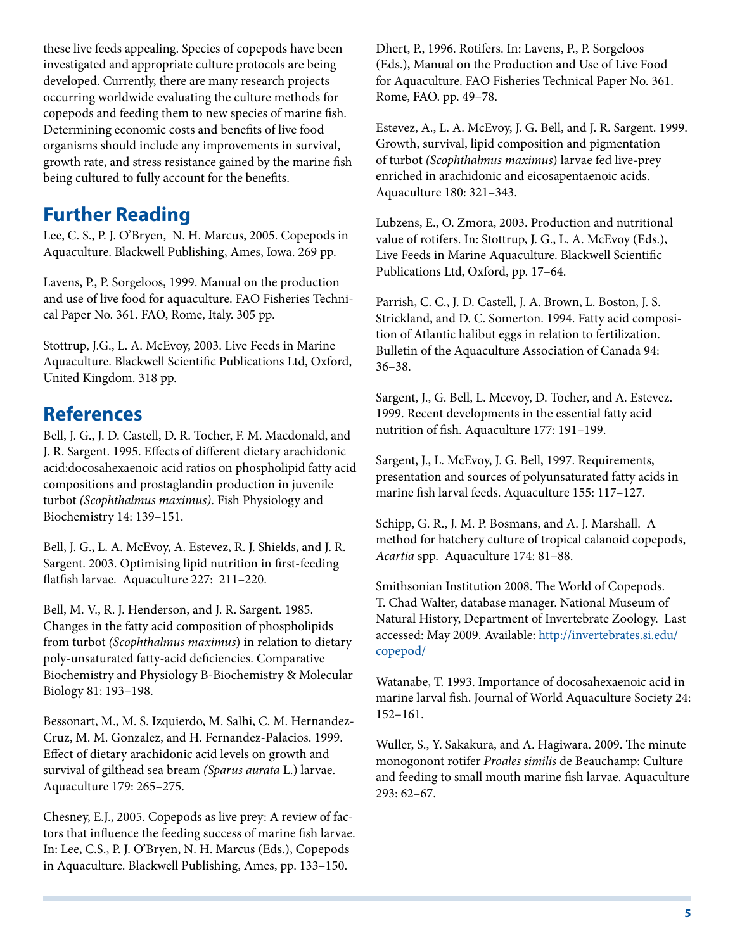these live feeds appealing. Species of copepods have been investigated and appropriate culture protocols are being developed. Currently, there are many research projects occurring worldwide evaluating the culture methods for copepods and feeding them to new species of marine fish. Determining economic costs and benefits of live food organisms should include any improvements in survival, growth rate, and stress resistance gained by the marine fish being cultured to fully account for the benefits.

### **Further Reading**

Lee, C. S., P. J. O'Bryen, N. H. Marcus, 2005. Copepods in Aquaculture. Blackwell Publishing, Ames, Iowa. 269 pp.

Lavens, P., P. Sorgeloos, 1999. Manual on the production and use of live food for aquaculture. FAO Fisheries Technical Paper No. 361. FAO, Rome, Italy. 305 pp.

Stottrup, J.G., L. A. McEvoy, 2003. Live Feeds in Marine Aquaculture. Blackwell Scientific Publications Ltd, Oxford, United Kingdom. 318 pp.

### **References**

Bell, J. G., J. D. Castell, D. R. Tocher, F. M. Macdonald, and J. R. Sargent. 1995. Effects of different dietary arachidonic acid:docosahexaenoic acid ratios on phospholipid fatty acid compositions and prostaglandin production in juvenile turbot *(Scophthalmus maximus)*. Fish Physiology and Biochemistry 14: 139–151.

Bell, J. G., L. A. McEvoy, A. Estevez, R. J. Shields, and J. R. Sargent. 2003. Optimising lipid nutrition in first-feeding flatfish larvae. Aquaculture 227: 211–220.

Bell, M. V., R. J. Henderson, and J. R. Sargent. 1985. Changes in the fatty acid composition of phospholipids from turbot *(Scophthalmus maximus*) in relation to dietary poly-unsaturated fatty-acid deficiencies. Comparative Biochemistry and Physiology B-Biochemistry & Molecular Biology 81: 193–198.

Bessonart, M., M. S. Izquierdo, M. Salhi, C. M. Hernandez-Cruz, M. M. Gonzalez, and H. Fernandez-Palacios. 1999. Effect of dietary arachidonic acid levels on growth and survival of gilthead sea bream *(Sparus aurata* L.) larvae. Aquaculture 179: 265–275.

Chesney, E.J., 2005. Copepods as live prey: A review of factors that influence the feeding success of marine fish larvae. In: Lee, C.S., P. J. O'Bryen, N. H. Marcus (Eds.), Copepods in Aquaculture. Blackwell Publishing, Ames, pp. 133–150.

Dhert, P., 1996. Rotifers. In: Lavens, P., P. Sorgeloos (Eds.), Manual on the Production and Use of Live Food for Aquaculture. FAO Fisheries Technical Paper No. 361. Rome, FAO. pp. 49–78.

Estevez, A., L. A. McEvoy, J. G. Bell, and J. R. Sargent. 1999. Growth, survival, lipid composition and pigmentation of turbot *(Scophthalmus maximus*) larvae fed live-prey enriched in arachidonic and eicosapentaenoic acids. Aquaculture 180: 321–343.

Lubzens, E., O. Zmora, 2003. Production and nutritional value of rotifers. In: Stottrup, J. G., L. A. McEvoy (Eds.), Live Feeds in Marine Aquaculture. Blackwell Scientific Publications Ltd, Oxford, pp. 17–64.

Parrish, C. C., J. D. Castell, J. A. Brown, L. Boston, J. S. Strickland, and D. C. Somerton. 1994. Fatty acid composition of Atlantic halibut eggs in relation to fertilization. Bulletin of the Aquaculture Association of Canada 94: 36–38.

Sargent, J., G. Bell, L. Mcevoy, D. Tocher, and A. Estevez. 1999. Recent developments in the essential fatty acid nutrition of fish. Aquaculture 177: 191–199.

Sargent, J., L. McEvoy, J. G. Bell, 1997. Requirements, presentation and sources of polyunsaturated fatty acids in marine fish larval feeds. Aquaculture 155: 117–127.

Schipp, G. R., J. M. P. Bosmans, and A. J. Marshall. A method for hatchery culture of tropical calanoid copepods, *Acartia* spp. Aquaculture 174: 81–88.

Smithsonian Institution 2008. The World of Copepods. T. Chad Walter, database manager. National Museum of Natural History, Department of Invertebrate Zoology. Last accessed: May 2009. Available: [http://invertebrates.si.edu/](http://invertebrates.si.edu/copepod/ ) [copepod/](http://invertebrates.si.edu/copepod/ )

Watanabe, T. 1993. Importance of docosahexaenoic acid in marine larval fish. Journal of World Aquaculture Society 24: 152–161.

Wuller, S., Y. Sakakura, and A. Hagiwara. 2009. The minute monogonont rotifer *Proales similis* de Beauchamp: Culture and feeding to small mouth marine fish larvae. Aquaculture 293: 62–67.